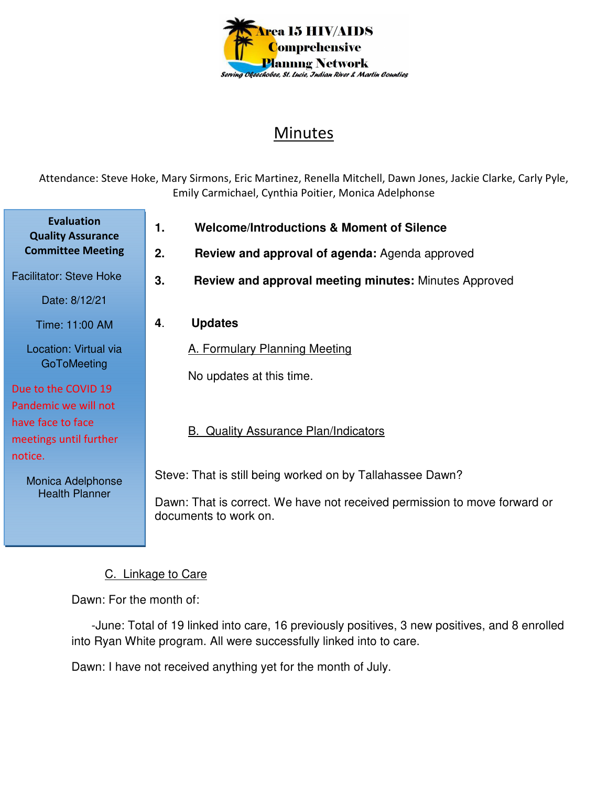

# Minutes

Attendance: Steve Hoke, Mary Sirmons, Eric Martinez, Renella Mitchell, Dawn Jones, Jackie Clarke, Carly Pyle, Emily Carmichael, Cynthia Poitier, Monica Adelphonse

- **1. Welcome/Introductions & Moment of Silence**
- **2. Review and approval of agenda:** Agenda approved
- **3. Review and approval meeting minutes:** Minutes Approved
- **4**. **Updates**

A. Formulary Planning Meeting

No updates at this time.

### B. Quality Assurance Plan/Indicators

Steve: That is still being worked on by Tallahassee Dawn?

Dawn: That is correct. We have not received permission to move forward or documents to work on.

### C. Linkage to Care

Dawn: For the month of:

 -June: Total of 19 linked into care, 16 previously positives, 3 new positives, and 8 enrolled into Ryan White program. All were successfully linked into to care.

Dawn: I have not received anything yet for the month of July.

**Evaluation Quality Assurance Committee Meeting**

Facilitator: Steve Hoke

Date: 8/12/21

Time: 11:00 AM

Location: Virtual via **GoToMeeting** 

## Due to the COVID 19

Pandemic we will not have face to face meetings until further notice.

> Monica Adelphonse Health Planner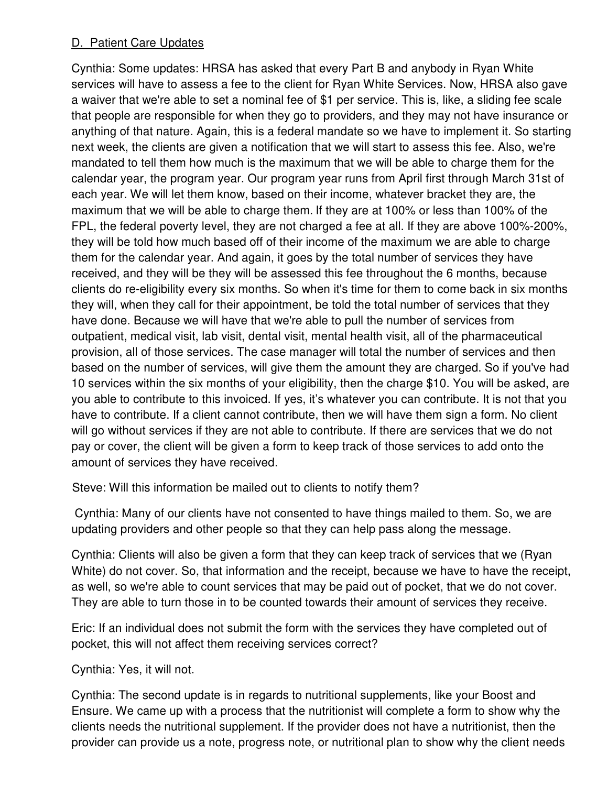### D. Patient Care Updates

Cynthia: Some updates: HRSA has asked that every Part B and anybody in Ryan White services will have to assess a fee to the client for Ryan White Services. Now, HRSA also gave a waiver that we're able to set a nominal fee of \$1 per service. This is, like, a sliding fee scale that people are responsible for when they go to providers, and they may not have insurance or anything of that nature. Again, this is a federal mandate so we have to implement it. So starting next week, the clients are given a notification that we will start to assess this fee. Also, we're mandated to tell them how much is the maximum that we will be able to charge them for the calendar year, the program year. Our program year runs from April first through March 31st of each year. We will let them know, based on their income, whatever bracket they are, the maximum that we will be able to charge them. If they are at 100% or less than 100% of the FPL, the federal poverty level, they are not charged a fee at all. If they are above 100%-200%, they will be told how much based off of their income of the maximum we are able to charge them for the calendar year. And again, it goes by the total number of services they have received, and they will be they will be assessed this fee throughout the 6 months, because clients do re-eligibility every six months. So when it's time for them to come back in six months they will, when they call for their appointment, be told the total number of services that they have done. Because we will have that we're able to pull the number of services from outpatient, medical visit, lab visit, dental visit, mental health visit, all of the pharmaceutical provision, all of those services. The case manager will total the number of services and then based on the number of services, will give them the amount they are charged. So if you've had 10 services within the six months of your eligibility, then the charge \$10. You will be asked, are you able to contribute to this invoiced. If yes, it's whatever you can contribute. It is not that you have to contribute. If a client cannot contribute, then we will have them sign a form. No client will go without services if they are not able to contribute. If there are services that we do not pay or cover, the client will be given a form to keep track of those services to add onto the amount of services they have received.

Steve: Will this information be mailed out to clients to notify them?

 Cynthia: Many of our clients have not consented to have things mailed to them. So, we are updating providers and other people so that they can help pass along the message.

Cynthia: Clients will also be given a form that they can keep track of services that we (Ryan White) do not cover. So, that information and the receipt, because we have to have the receipt, as well, so we're able to count services that may be paid out of pocket, that we do not cover. They are able to turn those in to be counted towards their amount of services they receive.

Eric: If an individual does not submit the form with the services they have completed out of pocket, this will not affect them receiving services correct?

Cynthia: Yes, it will not.

Cynthia: The second update is in regards to nutritional supplements, like your Boost and Ensure. We came up with a process that the nutritionist will complete a form to show why the clients needs the nutritional supplement. If the provider does not have a nutritionist, then the provider can provide us a note, progress note, or nutritional plan to show why the client needs